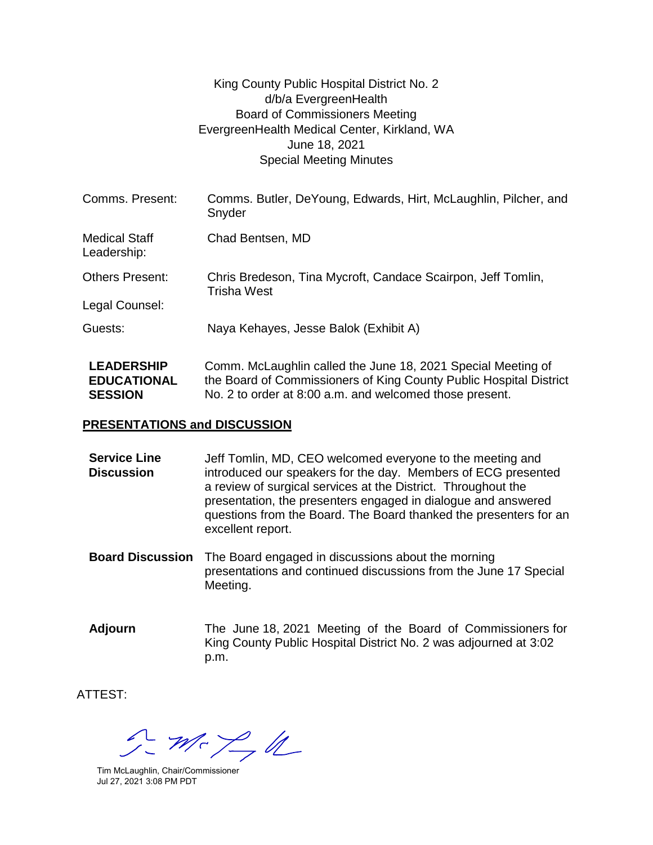## King County Public Hospital District No. 2 d/b/a EvergreenHealth Board of Commissioners Meeting EvergreenHealth Medical Center, Kirkland, WA June 18, 2021 Special Meeting Minutes

| Comms. Present:                                           | Comms. Butler, DeYoung, Edwards, Hirt, McLaughlin, Pilcher, and<br>Snyder                                                                                                                     |
|-----------------------------------------------------------|-----------------------------------------------------------------------------------------------------------------------------------------------------------------------------------------------|
| <b>Medical Staff</b><br>Leadership:                       | Chad Bentsen, MD                                                                                                                                                                              |
| <b>Others Present:</b>                                    | Chris Bredeson, Tina Mycroft, Candace Scairpon, Jeff Tomlin,<br><b>Trisha West</b>                                                                                                            |
| Legal Counsel:                                            |                                                                                                                                                                                               |
| Guests:                                                   | Naya Kehayes, Jesse Balok (Exhibit A)                                                                                                                                                         |
| <b>LEADERSHIP</b><br><b>EDUCATIONAL</b><br><b>SESSION</b> | Comm. McLaughlin called the June 18, 2021 Special Meeting of<br>the Board of Commissioners of King County Public Hospital District<br>No. 2 to order at 8:00 a.m. and welcomed those present. |

## **PRESENTATIONS and DISCUSSION**

- **Service Line Discussion** Jeff Tomlin, MD, CEO welcomed everyone to the meeting and introduced our speakers for the day. Members of ECG presented a review of surgical services at the District. Throughout the presentation, the presenters engaged in dialogue and answered questions from the Board. The Board thanked the presenters for an excellent report.
- **Board Discussion** The Board engaged in discussions about the morning presentations and continued discussions from the June 17 Special Meeting.
- **Adjourn** The June 18, 2021 Meeting of the Board of Commissioners for King County Public Hospital District No. 2 was adjourned at 3:02 p.m.

ATTEST:

 $m < \frac{1}{2}d$ 

Tim McLaughlin, Chair/Commissioner Jul 27, 2021 3:08 PM PDT